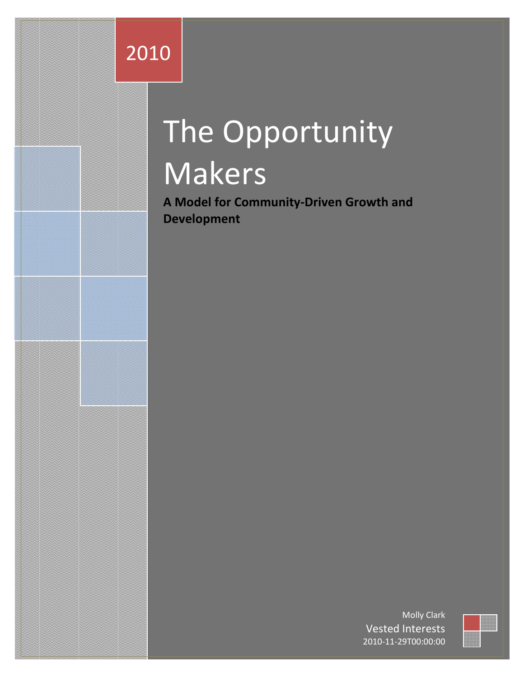# 2010

# The Opportunity Makers

**A Model for Community-Driven Growth and Development**

> Molly Clark Vested Interests 2010-11-29T00:00:00

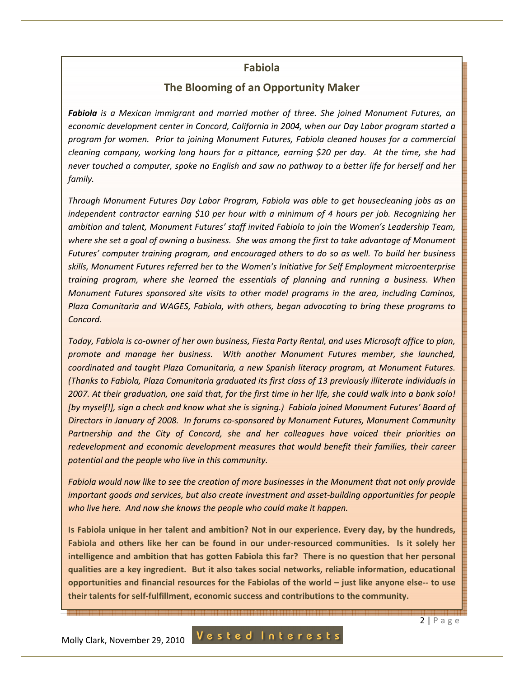### **Fabiola**

## **The Blooming of an Opportunity Maker**

*Fabiola is a Mexican immigrant and married mother of three. She joined Monument Futures, an economic development center in Concord, California in 2004, when our Day Labor program started a program for women. Prior to joining Monument Futures, Fabiola cleaned houses for a commercial cleaning company, working long hours for a pittance, earning \$20 per day. At the time, she had never touched a computer, spoke no English and saw no pathway to a better life for herself and her family.* 

*Through Monument Futures Day Labor Program, Fabiola was able to get housecleaning jobs as an independent contractor earning \$10 per hour with a minimum of 4 hours per job. Recognizing her ambition and talent, Monument Futures' staff invited Fabiola to join the Women's Leadership Team, where she set a goal of owning a business. She was among the first to take advantage of Monument Futures' computer training program, and encouraged others to do so as well. To build her business skills, Monument Futures referred her to the Women's Initiative for Self Employment microenterprise training program, where she learned the essentials of planning and running a business. When Monument Futures sponsored site visits to other model programs in the area, including Caminos, Plaza Comunitaria and WAGES, Fabiola, with others, began advocating to bring these programs to Concord.* 

*Today, Fabiola is co-owner of her own business, Fiesta Party Rental, and uses Microsoft office to plan, promote and manage her business. With another Monument Futures member, she launched, coordinated and taught Plaza Comunitaria, a new Spanish literacy program, at Monument Futures. (Thanks to Fabiola, Plaza Comunitaria graduated its first class of 13 previously illiterate individuals in 2007. At their graduation, one said that, for the first time in her life, she could walk into a bank solo! [by myself!], sign a check and know what she is signing.) Fabiola joined Monument Futures' Board of Directors in January of 2008. In forums co-sponsored by Monument Futures, Monument Community Partnership and the City of Concord, she and her colleagues have voiced their priorities on redevelopment and economic development measures that would benefit their families, their career potential and the people who live in this community.* 

*Fabiola would now like to see the creation of more businesses in the Monument that not only provide important goods and services, but also create investment and asset-building opportunities for people who live here. And now she knows the people who could make it happen.* 

**Is Fabiola unique in her talent and ambition? Not in our experience. Every day, by the hundreds, Fabiola and others like her can be found in our under-resourced communities. Is it solely her intelligence and ambition that has gotten Fabiola this far? There is no question that her personal qualities are a key ingredient. But it also takes social networks, reliable information, educational opportunities and financial resources for the Fabiolas of the world – just like anyone else-- to use their talents for self-fulfillment, economic success and contributions to the community.** 

e mee eeuwee geens de maar de bande eeuwe eeuwe de geen de de maar de de mee eeuwe de geens de daar de de mee e

Molly Clark, November 29, 2010

Vested Interests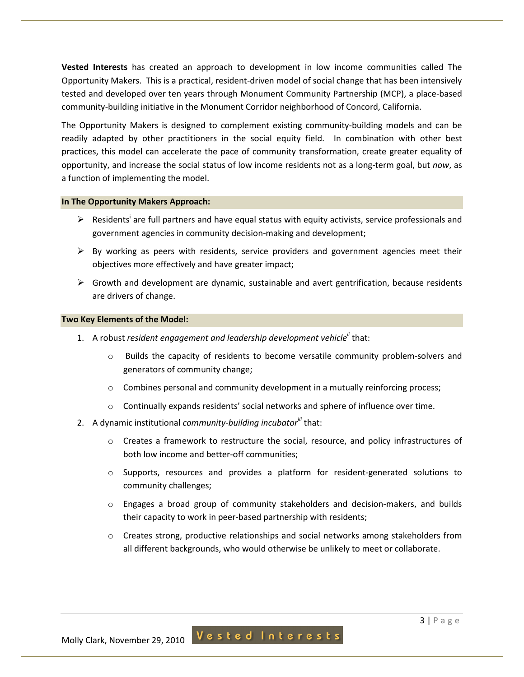**Vested Interests** has created an approach to development in low income communities called The Opportunity Makers. This is a practical, resident-driven model of social change that has been intensively tested and developed over ten years through Monument Community Partnership (MCP), a place-based community-building initiative in the Monument Corridor neighborhood of Concord, California.

The Opportunity Makers is designed to complement existing community-building models and can be readily adapted by other practitioners in the social equity field. In combination with other best practices, this model can accelerate the pace of community transformation, create greater equality of opportunity, and increase the social status of low income residents not as a long-term goal, but *now*, as a function of implementing the model.

#### **In The Opportunity Makers Approach:**

- $\triangleright$  Residents<sup>i</sup> are full partners and have equal status with equity activists, service professionals and government agencies in community decision-making and development;
- $\triangleright$  By working as peers with residents, service providers and government agencies meet their objectives more effectively and have greater impact;
- $\triangleright$  Growth and development are dynamic, sustainable and avert gentrification, because residents are drivers of change.

#### **Two Key Elements of the Model:**

- 1. A robust *resident engagement and leadership development vehicleii* that:
	- o Builds the capacity of residents to become versatile community problem-solvers and generators of community change;
	- $\circ$  Combines personal and community development in a mutually reinforcing process;
	- $\circ$  Continually expands residents' social networks and sphere of influence over time.
- 2. A dynamic institutional *community-building incubator*<sup>*iii*</sup> that:
	- o Creates a framework to restructure the social, resource, and policy infrastructures of both low income and better-off communities;
	- o Supports, resources and provides a platform for resident-generated solutions to community challenges;
	- $\circ$  Engages a broad group of community stakeholders and decision-makers, and builds their capacity to work in peer-based partnership with residents;
	- o Creates strong, productive relationships and social networks among stakeholders from all different backgrounds, who would otherwise be unlikely to meet or collaborate.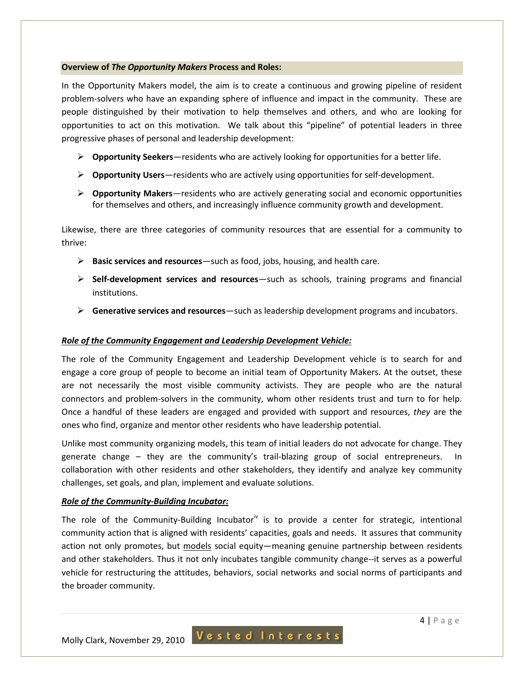#### **Overview of** *The Opportunity Makers* **Process and Roles:**

In the Opportunity Makers model, the aim is to create a continuous and growing pipeline of resident problem-solvers who have an expanding sphere of influence and impact in the community. These are people distinguished by their motivation to help themselves and others, and who are looking for opportunities to act on this motivation. We talk about this "pipeline" of potential leaders in three progressive phases of personal and leadership development:

- **Opportunity Seekers**—residents who are actively looking for opportunities for a better life.
- **Opportunity Users**—residents who are actively using opportunities for self-development.
- **Opportunity Makers**—residents who are actively generating social and economic opportunities for themselves and others, and increasingly influence community growth and development.

Likewise, there are three categories of community resources that are essential for a community to thrive:

- **Basic services and resources**—such as food, jobs, housing, and health care.
- **Self-development services and resources**—such as schools, training programs and financial institutions.
- **Generative services and resources**—such as leadership development programs and incubators.

#### *Role of the Community Engagement and Leadership Development Vehicle:*

The role of the Community Engagement and Leadership Development vehicle is to search for and engage a core group of people to become an initial team of Opportunity Makers. At the outset, these are not necessarily the most visible community activists. They are people who are the natural connectors and problem-solvers in the community, whom other residents trust and turn to for help. Once a handful of these leaders are engaged and provided with support and resources, *they* are the ones who find, organize and mentor other residents who have leadership potential.

Unlike most community organizing models, this team of initial leaders do not advocate for change. They generate change – they are the community's trail-blazing group of social entrepreneurs. In collaboration with other residents and other stakeholders, they identify and analyze key community challenges, set goals, and plan, implement and evaluate solutions.

#### *Role of the Community-Building Incubator:*

The role of the Community-Building Incubator<sup>iv</sup> is to provide a center for strategic, intentional community action that is aligned with residents' capacities, goals and needs. It assures that community action not only promotes, but models social equity—meaning genuine partnership between residents and other stakeholders. Thus it not only incubates tangible community change--it serves as a powerful vehicle for restructuring the attitudes, behaviors, social networks and social norms of participants and the broader community.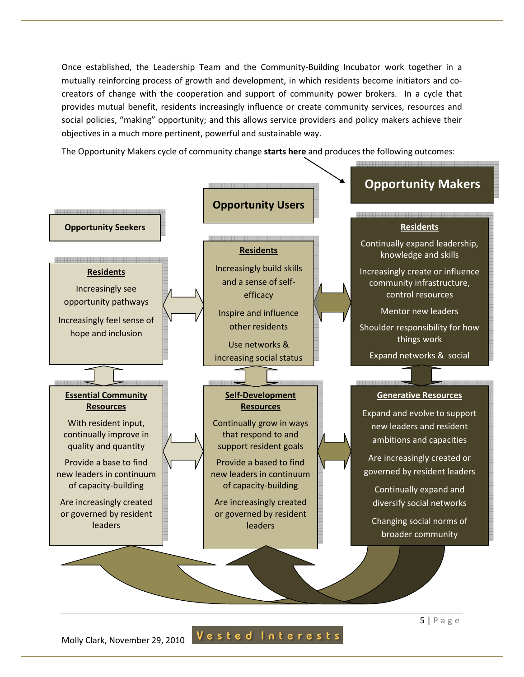Once established, the Leadership Team and the Community-Building Incubator work together in a mutually reinforcing process of growth and development, in which residents become initiators and cocreators of change with the cooperation and support of community power brokers. In a cycle that provides mutual benefit, residents increasingly influence or create community services, resources and social policies, "making" opportunity; and this allows service providers and policy makers achieve their objectives in a much more pertinent, powerful and sustainable way.

The Opportunity Makers cycle of community change **starts here** and produces the following outcomes:



Molly Clark, November 29, 2010 Vested Interests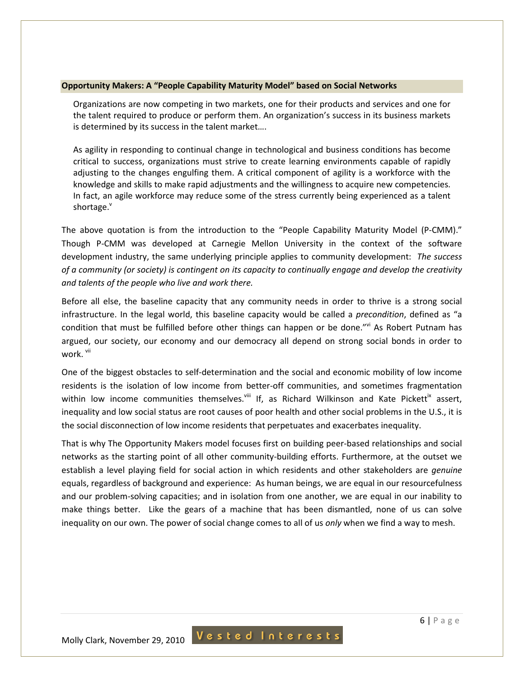#### **Opportunity Makers: A "People Capability Maturity Model" based on Social Networks**

Organizations are now competing in two markets, one for their products and services and one for the talent required to produce or perform them. An organization's success in its business markets is determined by its success in the talent market….

As agility in responding to continual change in technological and business conditions has become critical to success, organizations must strive to create learning environments capable of rapidly adjusting to the changes engulfing them. A critical component of agility is a workforce with the knowledge and skills to make rapid adjustments and the willingness to acquire new competencies. In fact, an agile workforce may reduce some of the stress currently being experienced as a talent shortage.

The above quotation is from the introduction to the "People Capability Maturity Model (P-CMM)." Though P-CMM was developed at Carnegie Mellon University in the context of the software development industry, the same underlying principle applies to community development: *The success of a community (or society) is contingent on its capacity to continually engage and develop the creativity and talents of the people who live and work there.*

Before all else, the baseline capacity that any community needs in order to thrive is a strong social infrastructure. In the legal world, this baseline capacity would be called a *precondition*, defined as "a condition that must be fulfilled before other things can happen or be done."vi As Robert Putnam has argued, our society, our economy and our democracy all depend on strong social bonds in order to work. <sup>vii</sup>

One of the biggest obstacles to self-determination and the social and economic mobility of low income residents is the isolation of low income from better-off communities, and sometimes fragmentation within low income communities themselves.<sup>viii</sup> If, as Richard Wilkinson and Kate Pickett<sup>ix</sup> assert, inequality and low social status are root causes of poor health and other social problems in the U.S., it is the social disconnection of low income residents that perpetuates and exacerbates inequality.

That is why The Opportunity Makers model focuses first on building peer-based relationships and social networks as the starting point of all other community-building efforts. Furthermore, at the outset we establish a level playing field for social action in which residents and other stakeholders are *genuine* equals, regardless of background and experience: As human beings, we are equal in our resourcefulness and our problem-solving capacities; and in isolation from one another, we are equal in our inability to make things better. Like the gears of a machine that has been dismantled, none of us can solve inequality on our own. The power of social change comes to all of us *only* when we find a way to mesh.

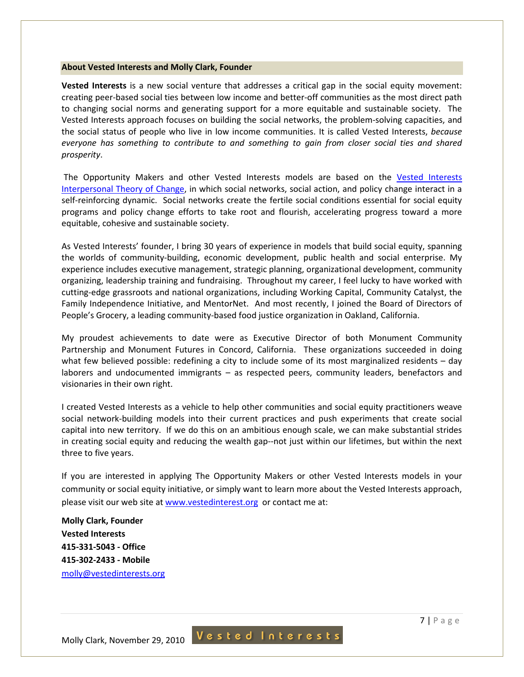#### **About Vested Interests and Molly Clark, Founder**

**Vested Interests** is a new social venture that addresses a critical gap in the social equity movement: creating peer-based social ties between low income and better-off communities as the most direct path to changing social norms and generating support for a more equitable and sustainable society. The Vested Interests approach focuses on building the social networks, the problem-solving capacities, and the social status of people who live in low income communities. It is called Vested Interests, *because everyone has something to contribute to and something to gain from closer social ties and shared prosperity*.

 The Opportunity Makers and other Vested Interests models are based on the Vested Interests Interpersonal Theory of Change, in which social networks, social action, and policy change interact in a self-reinforcing dynamic. Social networks create the fertile social conditions essential for social equity programs and policy change efforts to take root and flourish, accelerating progress toward a more equitable, cohesive and sustainable society.

As Vested Interests' founder, I bring 30 years of experience in models that build social equity, spanning the worlds of community-building, economic development, public health and social enterprise. My experience includes executive management, strategic planning, organizational development, community organizing, leadership training and fundraising. Throughout my career, I feel lucky to have worked with cutting-edge grassroots and national organizations, including Working Capital, Community Catalyst, the Family Independence Initiative, and MentorNet. And most recently, I joined the Board of Directors of People's Grocery, a leading community-based food justice organization in Oakland, California.

My proudest achievements to date were as Executive Director of both Monument Community Partnership and Monument Futures in Concord, California. These organizations succeeded in doing what few believed possible: redefining a city to include some of its most marginalized residents – day laborers and undocumented immigrants – as respected peers, community leaders, benefactors and visionaries in their own right.

I created Vested Interests as a vehicle to help other communities and social equity practitioners weave social network-building models into their current practices and push experiments that create social capital into new territory. If we do this on an ambitious enough scale, we can make substantial strides in creating social equity and reducing the wealth gap--not just within our lifetimes, but within the next three to five years.

If you are interested in applying The Opportunity Makers or other Vested Interests models in your community or social equity initiative, or simply want to learn more about the Vested Interests approach, please visit our web site at www.vestedinterest.org or contact me at:

**Molly Clark, Founder Vested Interests 415-331-5043 - Office 415-302-2433 - Mobile**  molly@vestedinterests.org